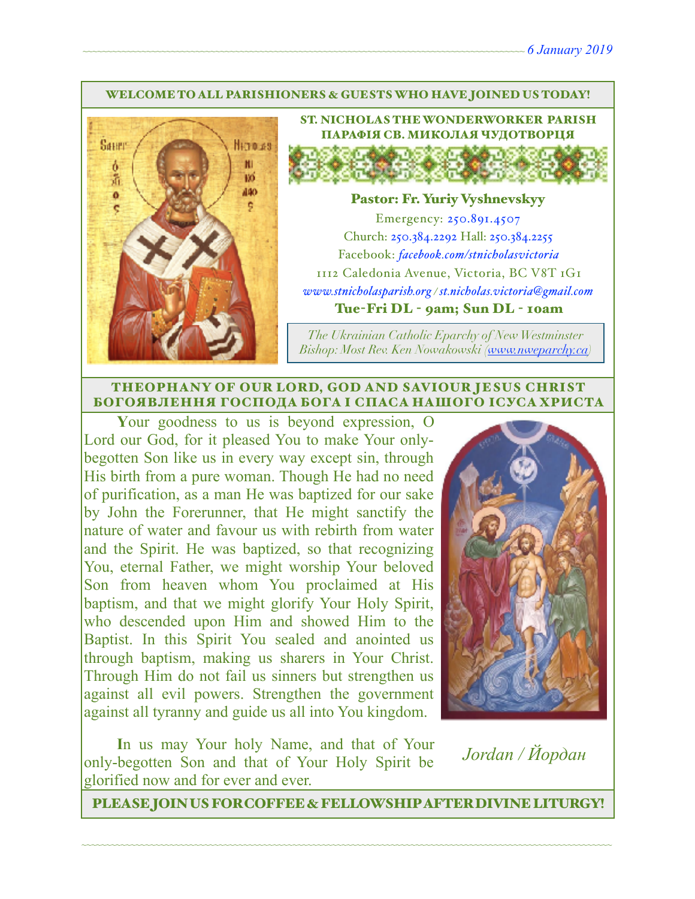#### WELCOME TO ALL PARISHIONERS & GUESTS WHO HAVE JOINED US TODAY!



ST. NICHOLAS THE WONDERWORKER PARISH ПАРАФІЯ СВ. МИКОЛАЯ ЧУДОТВОРЦЯ

#### Pastor: Fr. Yuriy Vyshnevskyy

Emergency: 250.891.4507 Church: 250.384.2292 Hall: 250.384.2255 Facebook: *[facebook.com/stnicholasvictoria](http://facebook.com/stnicholasvictoria)* 1112 Caledonia Avenue, Victoria, BC V8T 1G1 *[www.stnicholasparish.org](http://www.stnicholasparish.org) / [st.nicholas.victoria@gmail.com](mailto:st.nicholas.victoria@gmail.com)* Tue-Fri DL - 9am; Sun DL - 10am

*The Ukrainian Catholic Eparchy of New Westminster Bishop: Most Rev. Ken Nowakowski ([www.nweparchy.ca](http://www.nweparchy.ca))*

#### THEOPHANY OF OUR LORD, GOD AND SAVIOUR JESUS CHRIST БОГОЯВЛЕННЯ ГОСПОДА БОГА І СПАСА НАШОГО ІСУСА ХРИСТА

**Y**our goodness to us is beyond expression, O Lord our God, for it pleased You to make Your onlybegotten Son like us in every way except sin, through His birth from a pure woman. Though He had no need of purification, as a man He was baptized for our sake by John the Forerunner, that He might sanctify the nature of water and favour us with rebirth from water and the Spirit. He was baptized, so that recognizing You, eternal Father, we might worship Your beloved Son from heaven whom You proclaimed at His baptism, and that we might glorify Your Holy Spirit, who descended upon Him and showed Him to the Baptist. In this Spirit You sealed and anointed us through baptism, making us sharers in Your Christ. Through Him do not fail us sinners but strengthen us against all evil powers. Strengthen the government against all tyranny and guide us all into You kingdom.



**I**n us may Your holy Name, and that of Your only-begotten Son and that of Your Holy Spirit be glorified now and for ever and ever.

*Jordan / Йордан*

PLEASE JOIN US FOR COFFEE & FELLOWSHIP AFTER DIVINE LITURGY!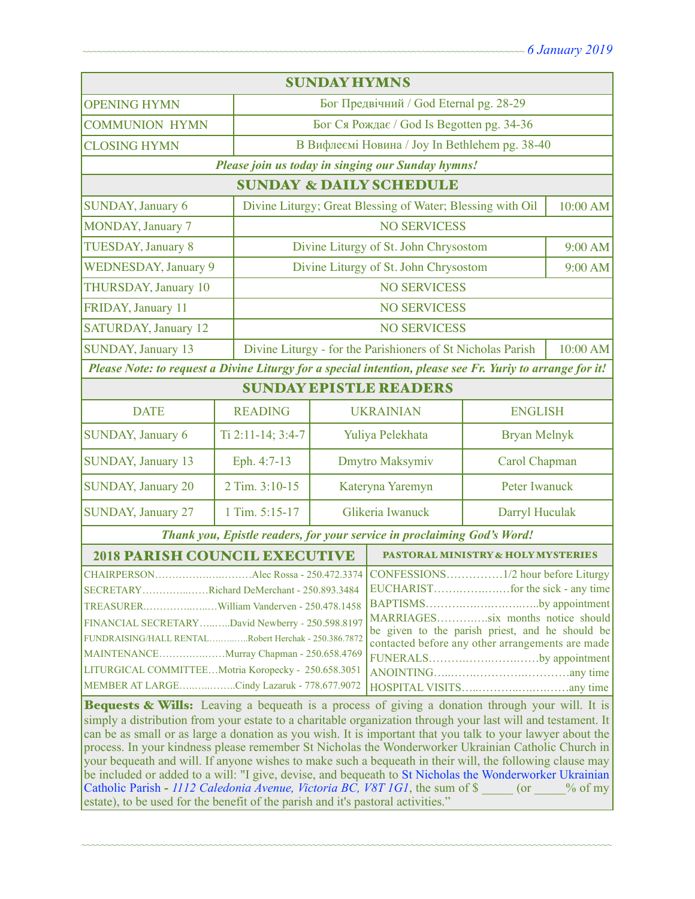| <b>SUNDAY HYMNS</b>                                                                                                                                                                                                                                                                                                                                                                                                                                                                                                                                                                                                                                                                                                                                  |                                           |                                                                         |                                               |                     |         |  |
|------------------------------------------------------------------------------------------------------------------------------------------------------------------------------------------------------------------------------------------------------------------------------------------------------------------------------------------------------------------------------------------------------------------------------------------------------------------------------------------------------------------------------------------------------------------------------------------------------------------------------------------------------------------------------------------------------------------------------------------------------|-------------------------------------------|-------------------------------------------------------------------------|-----------------------------------------------|---------------------|---------|--|
| <b>OPENING HYMN</b>                                                                                                                                                                                                                                                                                                                                                                                                                                                                                                                                                                                                                                                                                                                                  |                                           |                                                                         | Бог Предвічний / God Eternal pg. 28-29        |                     |         |  |
| <b>COMMUNION HYMN</b>                                                                                                                                                                                                                                                                                                                                                                                                                                                                                                                                                                                                                                                                                                                                | Бог Ся Рождає / God Is Begotten pg. 34-36 |                                                                         |                                               |                     |         |  |
| <b>CLOSING HYMN</b>                                                                                                                                                                                                                                                                                                                                                                                                                                                                                                                                                                                                                                                                                                                                  |                                           | В Вифлеємі Новина / Joy In Bethlehem pg. 38-40                          |                                               |                     |         |  |
| Please join us today in singing our Sunday hymns!                                                                                                                                                                                                                                                                                                                                                                                                                                                                                                                                                                                                                                                                                                    |                                           |                                                                         |                                               |                     |         |  |
| <b>SUNDAY &amp; DAILY SCHEDULE</b>                                                                                                                                                                                                                                                                                                                                                                                                                                                                                                                                                                                                                                                                                                                   |                                           |                                                                         |                                               |                     |         |  |
| <b>SUNDAY</b> , January 6                                                                                                                                                                                                                                                                                                                                                                                                                                                                                                                                                                                                                                                                                                                            |                                           | Divine Liturgy; Great Blessing of Water; Blessing with Oil              |                                               | 10:00 AM            |         |  |
| <b>MONDAY, January 7</b>                                                                                                                                                                                                                                                                                                                                                                                                                                                                                                                                                                                                                                                                                                                             |                                           |                                                                         |                                               | <b>NO SERVICESS</b> |         |  |
| <b>TUESDAY, January 8</b>                                                                                                                                                                                                                                                                                                                                                                                                                                                                                                                                                                                                                                                                                                                            |                                           | Divine Liturgy of St. John Chrysostom                                   |                                               |                     |         |  |
| <b>WEDNESDAY, January 9</b>                                                                                                                                                                                                                                                                                                                                                                                                                                                                                                                                                                                                                                                                                                                          |                                           | Divine Liturgy of St. John Chrysostom                                   |                                               |                     | 9:00 AM |  |
| THURSDAY, January 10                                                                                                                                                                                                                                                                                                                                                                                                                                                                                                                                                                                                                                                                                                                                 |                                           | <b>NO SERVICESS</b>                                                     |                                               |                     |         |  |
| FRIDAY, January 11                                                                                                                                                                                                                                                                                                                                                                                                                                                                                                                                                                                                                                                                                                                                   |                                           |                                                                         |                                               | <b>NO SERVICESS</b> |         |  |
| <b>SATURDAY, January 12</b>                                                                                                                                                                                                                                                                                                                                                                                                                                                                                                                                                                                                                                                                                                                          |                                           | <b>NO SERVICESS</b>                                                     |                                               |                     |         |  |
| <b>SUNDAY, January 13</b>                                                                                                                                                                                                                                                                                                                                                                                                                                                                                                                                                                                                                                                                                                                            |                                           | Divine Liturgy - for the Parishioners of St Nicholas Parish<br>10:00 AM |                                               |                     |         |  |
| Please Note: to request a Divine Liturgy for a special intention, please see Fr. Yuriy to arrange for it!                                                                                                                                                                                                                                                                                                                                                                                                                                                                                                                                                                                                                                            |                                           |                                                                         |                                               |                     |         |  |
| <b>SUNDAY EPISTLE READERS</b>                                                                                                                                                                                                                                                                                                                                                                                                                                                                                                                                                                                                                                                                                                                        |                                           |                                                                         |                                               |                     |         |  |
| <b>DATE</b>                                                                                                                                                                                                                                                                                                                                                                                                                                                                                                                                                                                                                                                                                                                                          | <b>READING</b>                            | <b>UKRAINIAN</b><br><b>ENGLISH</b>                                      |                                               |                     |         |  |
| SUNDAY, January 6                                                                                                                                                                                                                                                                                                                                                                                                                                                                                                                                                                                                                                                                                                                                    | Ti $2:11-14$ ; $3:4-7$                    |                                                                         | Yuliya Pelekhata<br><b>Bryan Melnyk</b>       |                     |         |  |
| SUNDAY, January 13                                                                                                                                                                                                                                                                                                                                                                                                                                                                                                                                                                                                                                                                                                                                   | Eph. 4:7-13                               |                                                                         | Dmytro Maksymiv                               | Carol Chapman       |         |  |
| <b>SUNDAY, January 20</b>                                                                                                                                                                                                                                                                                                                                                                                                                                                                                                                                                                                                                                                                                                                            | 2 Tim. 3:10-15                            | Kateryna Yaremyn                                                        |                                               | Peter Iwanuck       |         |  |
| <b>SUNDAY, January 27</b>                                                                                                                                                                                                                                                                                                                                                                                                                                                                                                                                                                                                                                                                                                                            | 1 Tim. 5:15-17                            | Glikeria Iwanuck                                                        |                                               | Darryl Huculak      |         |  |
| Thank you, Epistle readers, for your service in proclaiming God's Word!                                                                                                                                                                                                                                                                                                                                                                                                                                                                                                                                                                                                                                                                              |                                           |                                                                         |                                               |                     |         |  |
| <b>2018 PARISH COUNCIL EXECUTIVE</b>                                                                                                                                                                                                                                                                                                                                                                                                                                                                                                                                                                                                                                                                                                                 |                                           |                                                                         | <b>PASTORAL MINISTRY &amp; HOLY MYSTERIES</b> |                     |         |  |
| CHAIRPERSONAlec Rossa - 250.472.3374<br>SECRETARYRichard DeMerchant - 250.893.3484<br>BAPTISMSby appointment<br>MARRIAGESsix months notice should<br>FINANCIAL SECRETARYDavid Newberry - 250.598.8197<br>be given to the parish priest, and he should be<br>FUNDRAISING/HALL RENTALRobert Herchak - 250.386.7872<br>contacted before any other arrangements are made<br>MAINTENANCEMurray Chapman - 250.658.4769<br>FUNERALSby appointment<br>LITURGICAL COMMITTEEMotria Koropecky - 250.658.3051<br>MEMBER AT LARGECindy Lazaruk - 778.677.9072<br>Bequests & Wills: Leaving a bequeath is a process of giving a donation through your will. It is                                                                                                  |                                           |                                                                         |                                               |                     |         |  |
| simply a distribution from your estate to a charitable organization through your last will and testament. It<br>can be as small or as large a donation as you wish. It is important that you talk to your lawyer about the<br>process. In your kindness please remember St Nicholas the Wonderworker Ukrainian Catholic Church in<br>your bequeath and will. If anyone wishes to make such a bequeath in their will, the following clause may<br>be included or added to a will: "I give, devise, and bequeath to St Nicholas the Wonderworker Ukrainian<br>Catholic Parish - 1112 Caledonia Avenue, Victoria BC, V8T 1G1, the sum of \$<br>$($ or<br>$\%$ of my<br>estate), to be used for the benefit of the parish and it's pastoral activities." |                                           |                                                                         |                                               |                     |         |  |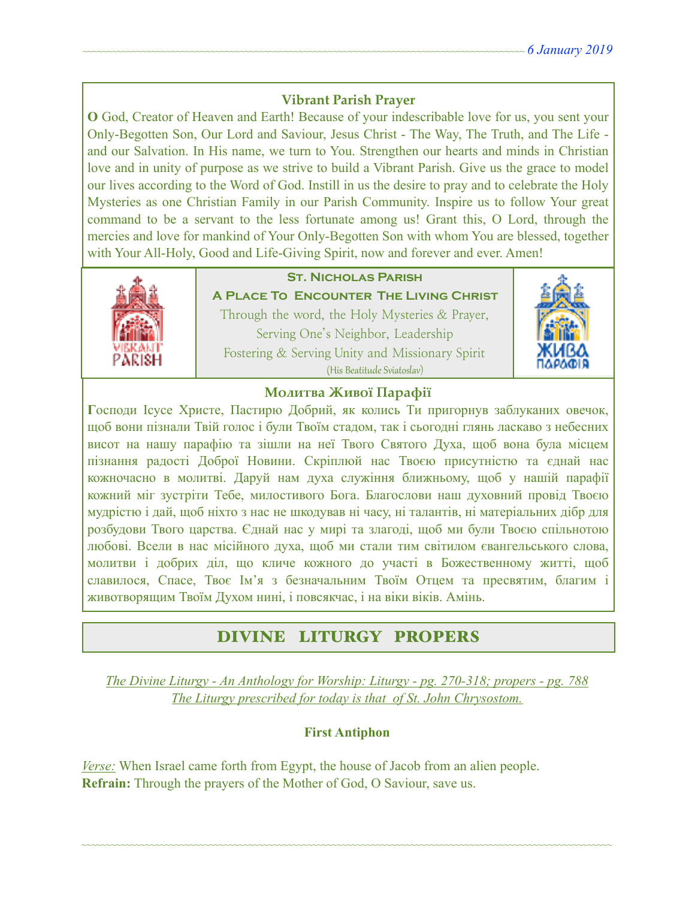## **Vibrant Parish Prayer**

**O** God, Creator of Heaven and Earth! Because of your indescribable love for us, you sent your Only-Begotten Son, Our Lord and Saviour, Jesus Christ - The Way, The Truth, and The Life and our Salvation. In His name, we turn to You. Strengthen our hearts and minds in Christian love and in unity of purpose as we strive to build a Vibrant Parish. Give us the grace to model our lives according to the Word of God. Instill in us the desire to pray and to celebrate the Holy Mysteries as one Christian Family in our Parish Community. Inspire us to follow Your great command to be a servant to the less fortunate among us! Grant this, O Lord, through the mercies and love for mankind of Your Only-Begotten Son with whom You are blessed, together with Your All-Holy, Good and Life-Giving Spirit, now and forever and ever. Amen!



## **St. Nicholas Parish**

**A Place To Encounter The Living Christ** Through the word, the Holy Mysteries & Prayer, Serving One's Neighbor, Leadership Fostering & Serving Unity and Missionary Spirit (His Beatitude Sviatoslav)



#### **Молитва Живої Парафії**

**Г**осподи Ісусе Христе, Пастирю Добрий, як колись Ти пригорнув заблуканих овечок, щоб вони пізнали Твій голос і були Твоїм стадом, так і сьогодні глянь ласкаво з небесних висот на нашу парафію та зішли на неї Твого Святого Духа, щоб вона була місцем пізнання радості Доброї Новини. Скріплюй нас Твоєю присутністю та єднай нас кожночасно в молитві. Даруй нам духа служіння ближньому, щоб у нашій парафії кожний міг зустріти Тебе, милостивого Бога. Благослови наш духовний провід Твоєю мудрістю і дай, щоб ніхто з нас не шкодував ні часу, ні талантів, ні матеріальних дібр для розбудови Твого царства. Єднай нас у мирі та злагоді, щоб ми були Твоєю спільнотою любові. Всели в нас місійного духа, щоб ми стали тим світилом євангельського слова, молитви і добрих діл, що кличе кожного до участі в Божественному житті, щоб славилося, Спасе, Твоє Ім'я з безначальним Твоїм Отцем та пресвятим, благим і животворящим Твоїм Духом нині, і повсякчас, і на віки віків. Амінь.

# DIVINE LITURGY PROPERS

*The Divine Liturgy - An Anthology for Worship: Liturgy - pg. 270-318; propers - pg. 788 The Liturgy prescribed for today is that of St. John Chrysostom.* 

#### **First Antiphon**

~~~~~~~~~~~~~~~~~~~~~~~~~~~~~~~~~~~~~~~~~~~~~~~~~~~~~~~~~~~~~~~~~~~~~~~~~~~~~~~~~~~~~~~~~~~~~~~~~~~~~~~~~~~~

*Verse:* When Israel came forth from Egypt, the house of Jacob from an alien people. **Refrain:** Through the prayers of the Mother of God, O Saviour, save us.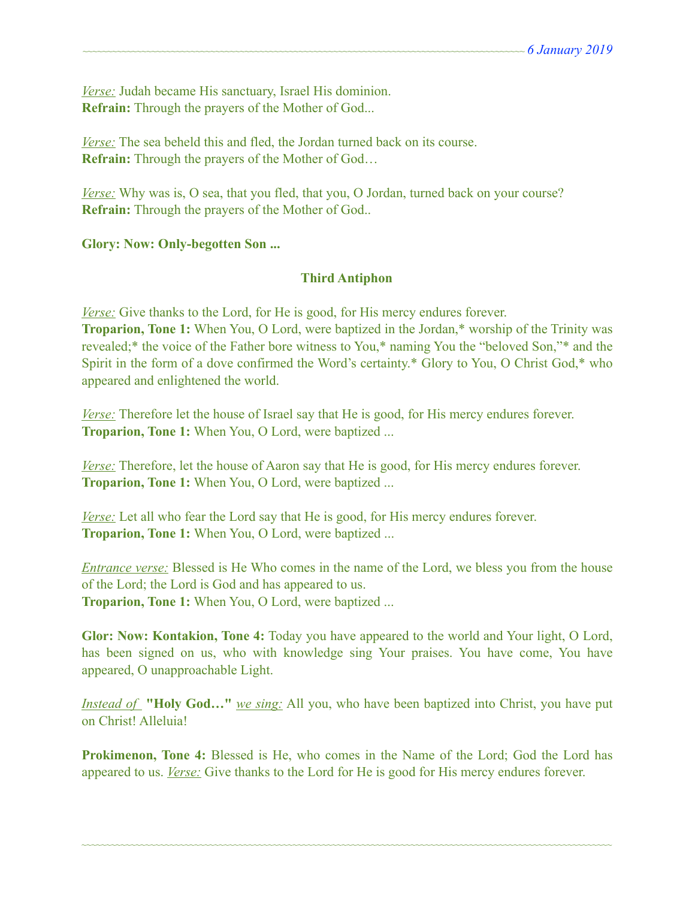*Verse:* Judah became His sanctuary, Israel His dominion. **Refrain:** Through the prayers of the Mother of God...

*Verse:* The sea beheld this and fled, the Jordan turned back on its course. **Refrain:** Through the prayers of the Mother of God…

*Verse:* Why was is, O sea, that you fled, that you, O Jordan, turned back on your course? **Refrain:** Through the prayers of the Mother of God..

#### **Glory: Now: Only-begotten Son ...**

#### **Third Antiphon**

*Verse:* Give thanks to the Lord, for He is good, for His mercy endures forever. **Troparion, Tone 1:** When You, O Lord, were baptized in the Jordan,\* worship of the Trinity was revealed;\* the voice of the Father bore witness to You,\* naming You the "beloved Son,"\* and the Spirit in the form of a dove confirmed the Word's certainty.\* Glory to You, O Christ God,\* who appeared and enlightened the world.

*Verse:* Therefore let the house of Israel say that He is good, for His mercy endures forever. **Troparion, Tone 1:** When You, O Lord, were baptized ...

*Verse:* Therefore, let the house of Aaron say that He is good, for His mercy endures forever. **Troparion, Tone 1:** When You, O Lord, were baptized ...

*Verse:* Let all who fear the Lord say that He is good, for His mercy endures forever. **Troparion, Tone 1:** When You, O Lord, were baptized ...

*Entrance verse:* Blessed is He Who comes in the name of the Lord, we bless you from the house of the Lord; the Lord is God and has appeared to us. **Troparion, Tone 1:** When You, O Lord, were baptized ...

**Glor: Now: Kontakion, Tone 4:** Today you have appeared to the world and Your light, O Lord, has been signed on us, who with knowledge sing Your praises. You have come, You have appeared, O unapproachable Light.

*Instead of* **"Holy God…"** *we sing:* All you, who have been baptized into Christ, you have put on Christ! Alleluia!

**Prokimenon, Tone 4:** Blessed is He, who comes in the Name of the Lord; God the Lord has appeared to us. *Verse:* Give thanks to the Lord for He is good for His mercy endures forever.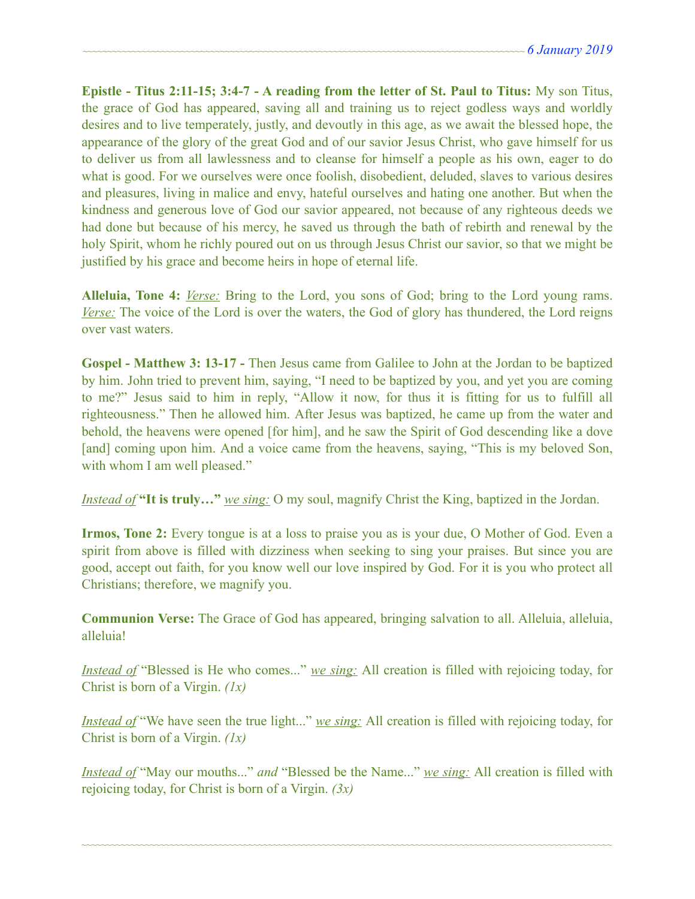**Epistle - Titus 2:11-15; 3:4-7 - A reading from the letter of St. Paul to Titus:** My son Titus, the grace of God has appeared, saving all and training us to reject godless ways and worldly desires and to live temperately, justly, and devoutly in this age, as we await the blessed hope, the appearance of the glory of the great God and of our savior Jesus Christ, who gave himself for us to deliver us from all lawlessness and to cleanse for himself a people as his own, eager to do what is good. For we ourselves were once foolish, disobedient, deluded, slaves to various desires and pleasures, living in malice and envy, hateful ourselves and hating one another. But when the kindness and generous love of God our savior appeared, not because of any righteous deeds we had done but because of his mercy, he saved us through the bath of rebirth and renewal by the holy Spirit, whom he richly poured out on us through Jesus Christ our savior, so that we might be justified by his grace and become heirs in hope of eternal life.

**Alleluia, Tone 4:** *Verse:* Bring to the Lord, you sons of God; bring to the Lord young rams. *Verse:* The voice of the Lord is over the waters, the God of glory has thundered, the Lord reigns over vast waters.

**Gospel - Matthew 3: 13-17 -** Then Jesus came from Galilee to John at the Jordan to be baptized by him. John tried to prevent him, saying, "I need to be baptized by you, and yet you are coming to me?" Jesus said to him in reply, "Allow it now, for thus it is fitting for us to fulfill all righteousness." Then he allowed him. After Jesus was baptized, he came up from the water and behold, the heavens were opened [for him], and he saw the Spirit of God descending like a dove [and] coming upon him. And a voice came from the heavens, saying, "This is my beloved Son, with whom I am well pleased."

*Instead of* **"It is truly…"** *we sing:* O my soul, magnify Christ the King, baptized in the Jordan.

**Irmos, Tone 2:** Every tongue is at a loss to praise you as is your due, O Mother of God. Even a spirit from above is filled with dizziness when seeking to sing your praises. But since you are good, accept out faith, for you know well our love inspired by God. For it is you who protect all Christians; therefore, we magnify you.

**Communion Verse:** The Grace of God has appeared, bringing salvation to all. Alleluia, alleluia, alleluia!

*Instead of* "Blessed is He who comes..." *we sing:* All creation is filled with rejoicing today, for Christ is born of a Virgin. *(1х)* 

*Instead of* "We have seen the true light..." *we sing*: All creation is filled with rejoicing today, for Christ is born of a Virgin. *(1х)* 

*Instead of* "May our mouths..." *and* "Blessed be the Name..." *we sing:* All creation is filled with rejoicing today, for Christ is born of a Virgin. *(3x)*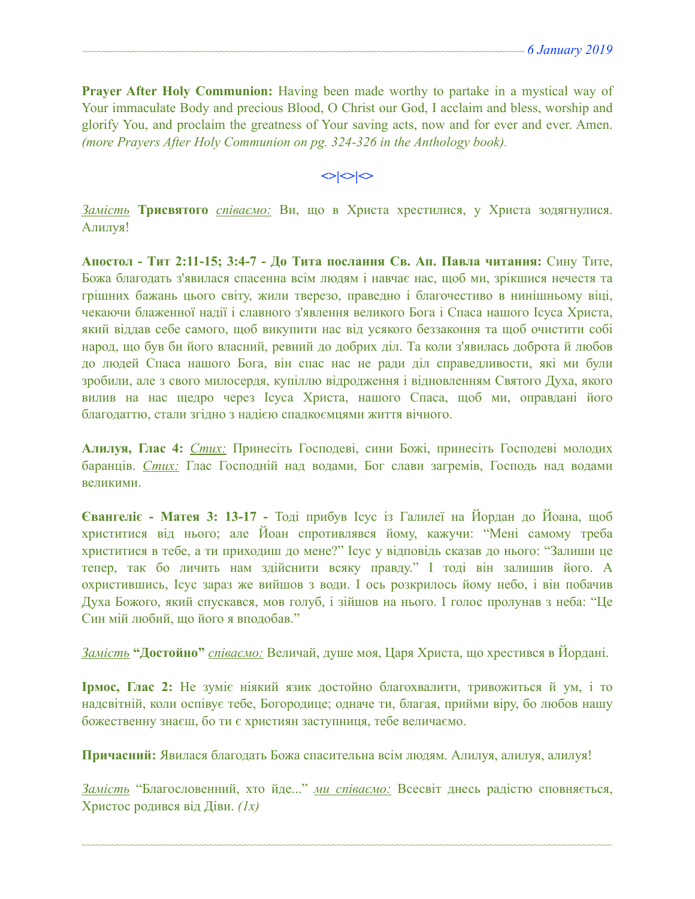**Prayer After Holy Communion:** Having been made worthy to partake in a mystical way of Your immaculate Body and precious Blood, O Christ our God, I acclaim and bless, worship and glorify You, and proclaim the greatness of Your saving acts, now and for ever and ever. Amen. *(more Prayers After Holy Communion on pg. 324-326 in the Anthology book).* 

## $\left| \diamond \right| \diamond \left| \diamond \right|$

*Замість* **Трисвятого** *співаємо:* Ви, що в Христа хрестилися, у Христа зодягнулися. Алилуя!

**Апостол - Тит 2:11-15; 3:4-7 - До Тита послання Св. Ап. Павла читання:** Сину Тите, Божа благодать з'явилася спасенна всім людям і навчає нас, щоб ми, зрікшися нечестя та грішних бажань цього світу, жили тверезо, праведно і благочестиво в нинішньому віці, чекаючи блаженної надії і славного з'явлення великого Бога і Спаса нашого Ісуса Христа, який віддав себе самого, щоб викупити нас від усякого беззаконня та щоб очистити собі народ, що був би його власний, ревний до добрих діл. Та коли з'явилась доброта й любов до людей Спаса нашого Бога, він спас нас не ради діл справедливости, які ми були зробили, але з свого милосердя, купіллю відродження і відновленням Святого Духа, якого вилив на нас щедро через Ісуса Христа, нашого Спаса, щоб ми, оправдані його благодаттю, стали згідно з надією спадкоємцями життя вічного.

**Алилуя, Глас 4:** *Стих:* Принесіть Господеві, сини Божі, принесіть Господеві молодих баранців. *Стих:* Глас Господній над водами, Бог слави загремів, Господь над водами великими.

**Євангеліє - Матея 3: 13-17 -** Тоді прибув Ісус із Галилеї на Йордан до Йоана, щоб христитися від нього; але Йоан спротивлявся йому, кажучи: "Мені самому треба христитися в тебе, а ти приходиш до мене?" Ісус у відповідь сказав до нього: "Залиши це тепер, так бо личить нам здійснити всяку правду." І тоді він залишив його. А охристившись, Ісус зараз же вийшов з води. І ось розкрилось йому небо, і він побачив Духа Божого, який спускався, мов голуб, і зійшов на нього. І голос пролунав з неба: "Це Син мій любий, що його я вподобав."

*Замість* **"Достойно"** *співаємо:* Величай, душе моя, Царя Христа, що хрестився в Йордані.

**Ірмос, Глас 2:** Не зуміє ніякий язик достойно благохвалити, тривожиться й ум, і то надсвітній, коли оспівує тебе, Богородице; одначе ти, благая, прийми віру, бо любов нашу божественну знаєш, бо ти є християн заступниця, тебе величаємо.

**Причасний:** Явилася благодать Божа спасительна всім людям. Алилуя, алилуя, алилуя!

*Замість* "Благословенний, хто йде..." *ми співаємо:* Всесвіт днесь радістю сповняється, Христос родився від Діви. *(1х)*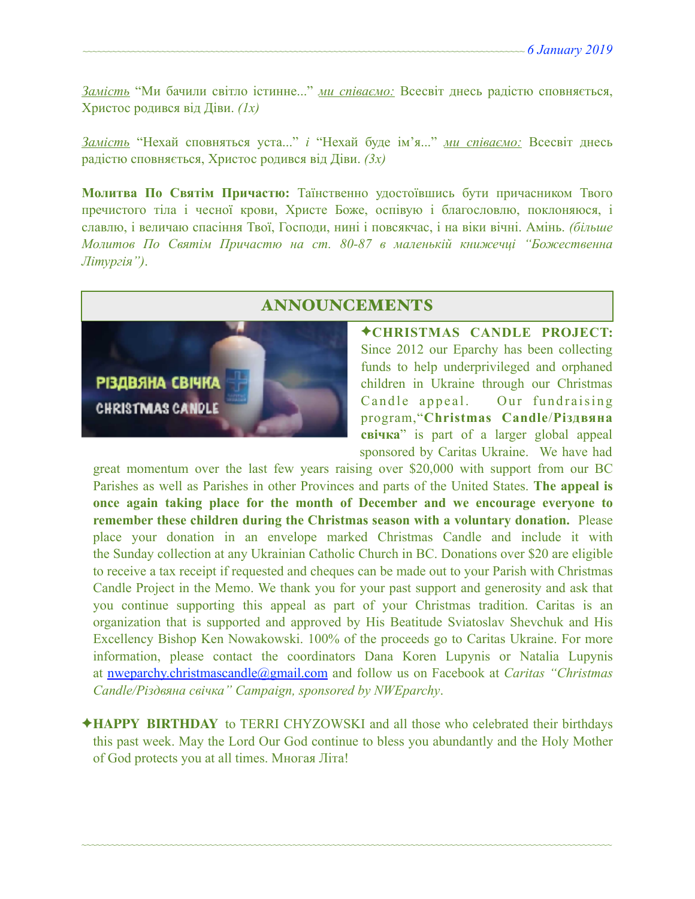*Замість* "Ми бачили світло істинне..." *ми співаємо:* Всесвіт днесь радістю сповняється, Христос родився від Діви. *(1х)* 

*Замість* "Нехай сповняться уста..." *і* "Нехай буде ім'я..." *ми співаємо:* Всесвіт днесь радістю сповняється, Христос родився від Діви. *(3х)* 

**Молитва По Святім Причастю:** Таїнственно удостоївшись бути причасником Твого пречистого тіла і чесної крови, Христе Боже, оспівую і благословлю, поклоняюся, і славлю, і величаю спасіння Твої, Господи, нині і повсякчас, і на віки вічні. Амінь. *(більше Молитов По Святім Причастю на ст. 80-87 в маленькій книжечці "Божественна Літургія")*.

# ANNOUNCEMENTS



✦**CHRISTMAS CANDLE PROJECT:** Since 2012 our Eparchy has been collecting funds to help underprivileged and orphaned children in Ukraine through our Christmas Candle appeal. Our fundraising program,"**Christmas Candle**/**Різдвяна свічка**" is part of a larger global appeal sponsored by Caritas Ukraine. We have had

great momentum over the last few years raising over \$20,000 with support from our BC Parishes as well as Parishes in other Provinces and parts of the United States. **The appeal is once again taking place for the month of December and we encourage everyone to remember these children during the Christmas season with a voluntary donation.** Please place your donation in an envelope marked Christmas Candle and include it with the Sunday collection at any Ukrainian Catholic Church in BC. Donations over \$20 are eligible to receive a tax receipt if requested and cheques can be made out to your Parish with Christmas Candle Project in the Memo. We thank you for your past support and generosity and ask that you continue supporting this appeal as part of your Christmas tradition. Caritas is an organization that is supported and approved by His Beatitude Sviatoslav Shevchuk and His Excellency Bishop Ken Nowakowski. 100% of the proceeds go to Caritas Ukraine. For more information, please contact the coordinators Dana Koren Lupynis or Natalia Lupynis at [nweparchy.christmascandle@gmail.com](mailto:nweparchy.christmascandle@gmail.com) and follow us on Facebook at *Caritas "Christmas Candle/Різдвяна свічка" Campaign, sponsored by NWEparchy*.

✦**HAPPY BIRTHDAY** to TERRI CHYZOWSKI and all those who celebrated their birthdays this past week. May the Lord Our God continue to bless you abundantly and the Holy Mother of God protects you at all times. Многая Літа!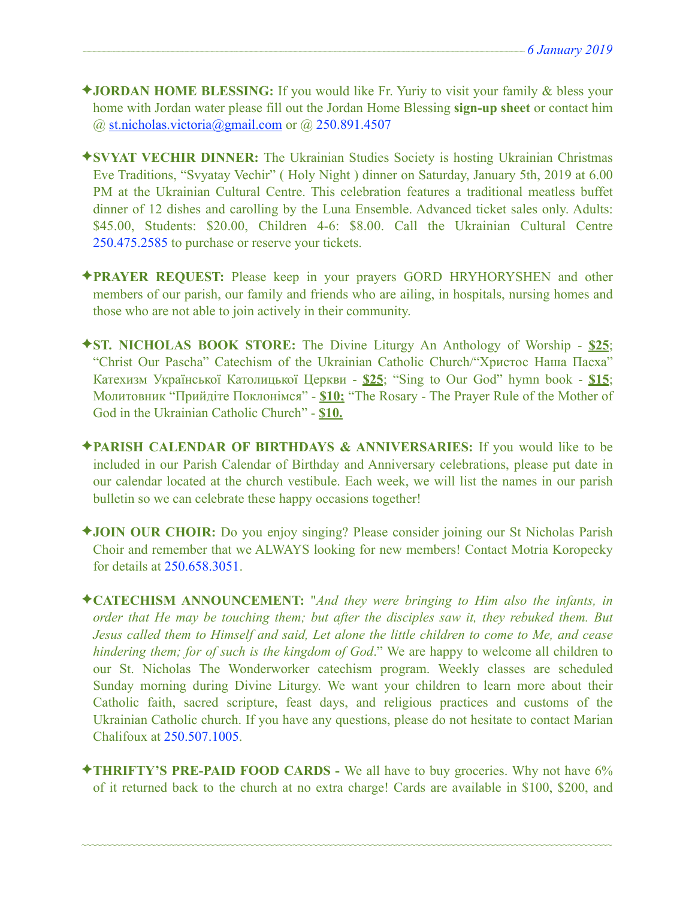- ✦**JORDAN HOME BLESSING:** If you would like Fr. Yuriy to visit your family & bless your home with Jordan water please fill out the Jordan Home Blessing **sign-up sheet** or contact him  $(a)$  st.nicholas.victoria $(a)$ gmail.com or  $(a)$  250.891.4507
- ✦**SVYAT VECHIR DINNER:** The Ukrainian Studies Society is hosting Ukrainian Christmas Eve Traditions, "Svyatay Vechir" ( Holy Night ) dinner on Saturday, January 5th, 2019 at 6.00 PM at the Ukrainian Cultural Centre. This celebration features a traditional meatless buffet dinner of 12 dishes and carolling by the Luna Ensemble. Advanced ticket sales only. Adults: \$45.00, Students: \$20.00, Children 4-6: \$8.00. Call the Ukrainian Cultural Centre 250.475.2585 to purchase or reserve your tickets.
- ✦**PRAYER REQUEST:** Please keep in your prayers GORD HRYHORYSHEN and other members of our parish, our family and friends who are ailing, in hospitals, nursing homes and those who are not able to join actively in their community.
- ✦**ST. NICHOLAS BOOK STORE:** The Divine Liturgy An Anthology of Worship **\$25**; "Christ Our Pascha" Catechism of the Ukrainian Catholic Church/"Христос Наша Пасха" Катехизм Української Католицької Церкви - **\$25**; "Sing to Our God" hymn book - **\$15**; Молитовник "Прийдіте Поклонімся" - **\$10;** "The Rosary - The Prayer Rule of the Mother of God in the Ukrainian Catholic Church" - **\$10.**
- ✦**PARISH CALENDAR OF BIRTHDAYS & ANNIVERSARIES:** If you would like to be included in our Parish Calendar of Birthday and Anniversary celebrations, please put date in our calendar located at the church vestibule. Each week, we will list the names in our parish bulletin so we can celebrate these happy occasions together!
- ✦**JOIN OUR CHOIR:** Do you enjoy singing? Please consider joining our St Nicholas Parish Choir and remember that we ALWAYS looking for new members! Contact Motria Koropecky for details at 250.658.3051.
- ✦**CATECHISM ANNOUNCEMENT:** "*And they were bringing to Him also the infants, in order that He may be touching them; but after the disciples saw it, they rebuked them. But Jesus called them to Himself and said, Let alone the little children to come to Me, and cease hindering them; for of such is the kingdom of God*." We are happy to welcome all children to our St. Nicholas The Wonderworker catechism program. Weekly classes are scheduled Sunday morning during Divine Liturgy. We want your children to learn more about their Catholic faith, sacred scripture, feast days, and religious practices and customs of the Ukrainian Catholic church. If you have any questions, please do not hesitate to contact Marian Chalifoux at 250.507.1005.
- ✦**THRIFTY'S PRE-PAID FOOD CARDS** We all have to buy groceries. Why not have 6% of it returned back to the church at no extra charge! Cards are available in \$100, \$200, and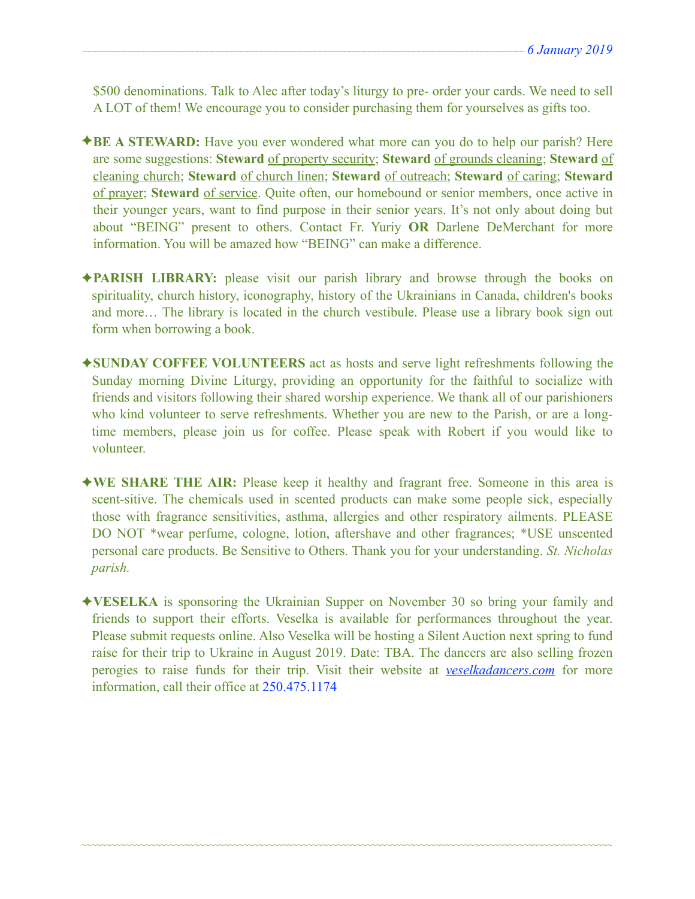\$500 denominations. Talk to Alec after today's liturgy to pre- order your cards. We need to sell A LOT of them! We encourage you to consider purchasing them for yourselves as gifts too.

- ✦**BE A STEWARD:** Have you ever wondered what more can you do to help our parish? Here are some suggestions: **Steward** of property security; **Steward** of grounds cleaning; **Steward** of cleaning church; **Steward** of church linen; **Steward** of outreach; **Steward** of caring; **Steward** of prayer; **Steward** of service. Quite often, our homebound or senior members, once active in their younger years, want to find purpose in their senior years. It's not only about doing but about "BEING" present to others. Contact Fr. Yuriy **OR** Darlene DeMerchant for more information. You will be amazed how "BEING" can make a difference.
- ✦**PARISH LIBRARY:** please visit our parish library and browse through the books on spirituality, church history, iconography, history of the Ukrainians in Canada, children's books and more… The library is located in the church vestibule. Please use a library book sign out form when borrowing a book.
- ✦**SUNDAY COFFEE VOLUNTEERS** act as hosts and serve light refreshments following the Sunday morning Divine Liturgy, providing an opportunity for the faithful to socialize with friends and visitors following their shared worship experience. We thank all of our parishioners who kind volunteer to serve refreshments. Whether you are new to the Parish, or are a longtime members, please join us for coffee. Please speak with Robert if you would like to volunteer.
- ✦**WE SHARE THE AIR:** Please keep it healthy and fragrant free. Someone in this area is scent-sitive. The chemicals used in scented products can make some people sick, especially those with fragrance sensitivities, asthma, allergies and other respiratory ailments. PLEASE DO NOT \*wear perfume, cologne, lotion, aftershave and other fragrances; \*USE unscented personal care products. Be Sensitive to Others. Thank you for your understanding. *St. Nicholas parish.*
- ✦**VESELKA** is sponsoring the Ukrainian Supper on November 30 so bring your family and friends to support their efforts. Veselka is available for performances throughout the year. Please submit requests online. Also Veselka will be hosting a Silent Auction next spring to fund raise for their trip to Ukraine in August 2019. Date: TBA. The dancers are also selling frozen perogies to raise funds for their trip. Visit their website at *[veselkadancers.com](http://veselkadancers.com)* for more information, call their office at 250.475.1174